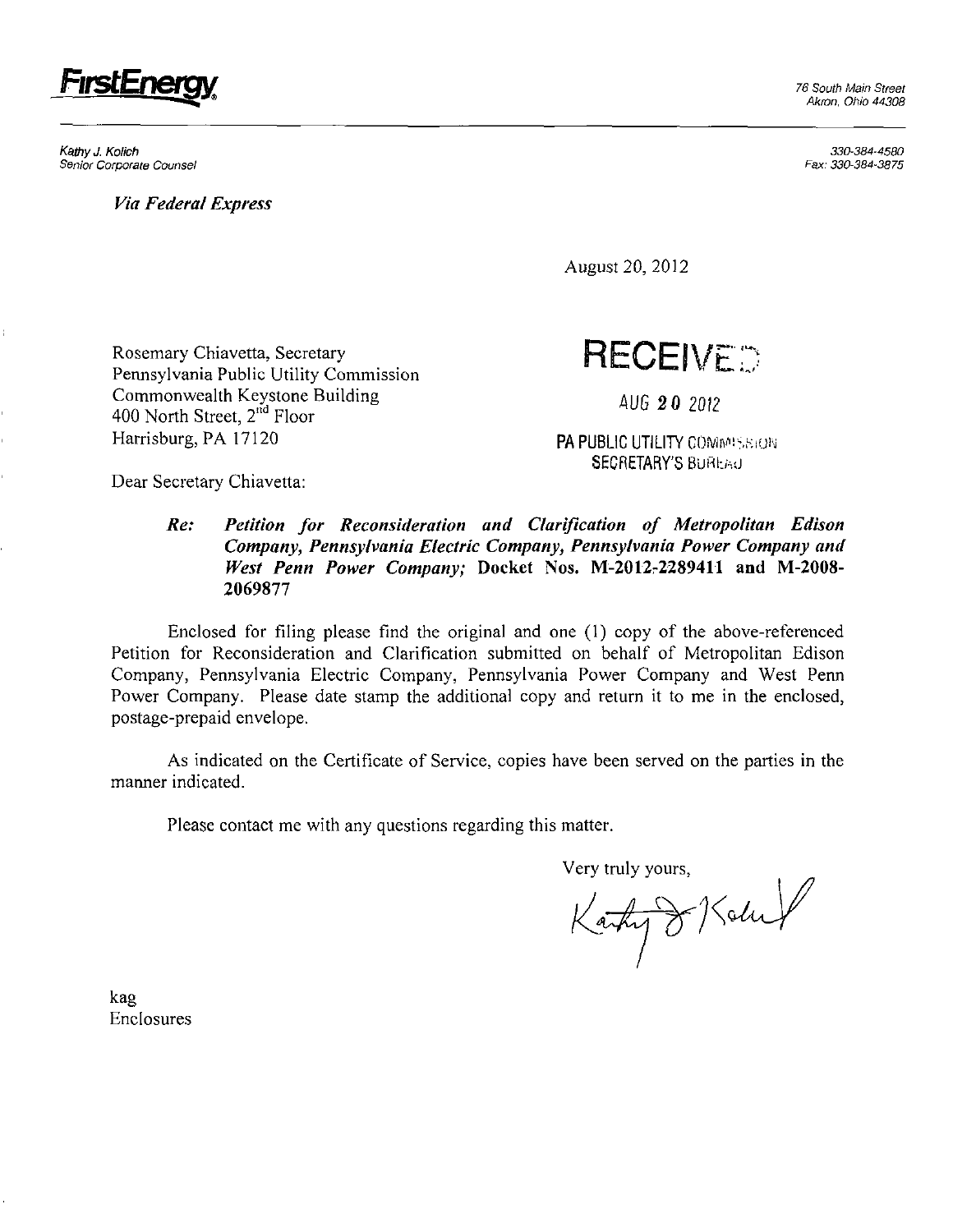

Kathy J. Kolich Senior Corporate Counsel

*Via Federal Express* 

Akron, Ohio 44308

330-384-4580 Fax:330-384-3875

August 20, 2012

Rosemary Chiavetta, Secretary Pennsylvania Public Utility Commission Commonwealth Keystone Building 400 North Street, 2<sup>nd</sup> Floor Harrisburg, PA 17120

**RECEIVED** 

*AUG 20 2012* 

PA PUBLIC UTILITY COMMISSION SECRETARY'S BUREAU

Dear Secretary Chiavetta:

## **Re: Petition for Reconsideration and Clarification of Metropolitan Edison Company, Pennsylvania Electric Company, Pennsylvania Power Company and**  West Penn Power Company; Docket Nos. M-2012-2289411 and M-2008-**2069877**

Enclosed for filing please find the original and one (1) copy of the above-referenced Petition for Reconsideration and Clarification submitted on behalf of Metropolitan Edison Company, Pennsylvania Electric Company, Pennsylvania Power Company and West Penn Power Company. Please date stamp the additional copy and return it to me in the enclosed, postage-prepaid envelope.

As indicated on the Certificate of Service, copies have been served on the parties in the manner indicated.

Please contact me with any questions regarding this matter.

Very truly yours,

Karty & Kolu

kag Enclosures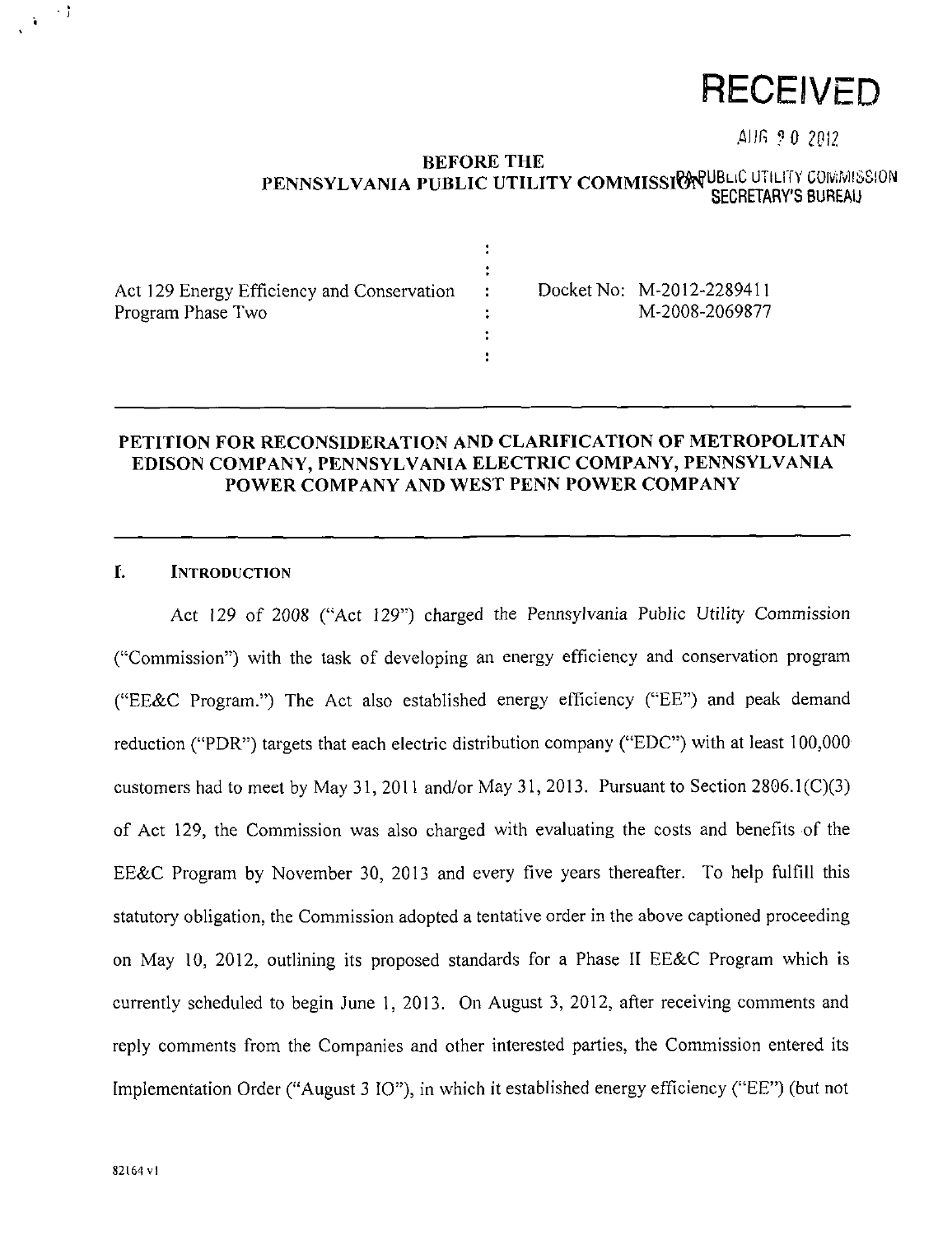# **RECEIVED**

AIIG ? 0 2012

#### **BEFORE THE**  PENNSYLVANIA PUBLIC UTILITY COMMISSION USE OTHER TOURSES SECRETARY'S BUREAU

| Act 129 Energy Efficiency and Conservation<br>Program Phase Two | $\mathbb{R}^n$ | Docket No: M-2012-2289411<br>M-2008-2069877 |
|-----------------------------------------------------------------|----------------|---------------------------------------------|
|                                                                 |                |                                             |
|                                                                 |                |                                             |

### **PETITION FOR RECONSIDERATION AND CLARIFICATION OF METROPOLITAN EDISON COMPANY, PENNSYLVANIA ELECTRIC COMPANY, PENNSYLVANIA POWER COMPANY AND WEST PENN POWER COMPANY**

# **I. INTRODUCTION**

 $\ddot{\phantom{0}}$ 

Act 129 of 2008 ("Act 129") charged the Pennsylvania Public Utility Commission ("Commission") with the task of developing an energy efficiency and conservation program ("EE&C Program.") The Act also established energy efficiency ("EE") and peak demand reduction ("PDR") targets that each electric distribution company ("EDC") with at least 100,000 customers had to meet by May 31, 2011 and/or May 31, 2013. Pursuant to Section 2806.1(C)(3) of Act 129, the Commission was also charged with evaluating the costs and benefits of the EE&C Program by November 30, 2013 and every five years thereafter. To help fulfill this statutory obligation, the Commission adopted a tentative order in the above captioned proceeding on May 10, 2012, outlining its proposed standards for a Phase II EE&C Program which is currently scheduled to begin June 1, 2013. On August 3, 2012, after receiving comments and reply comments from the Companies and other interested parties, the Commission entered its Implementation Order ("August 3 IO"), in which it established energy efficiency ("EE") (but not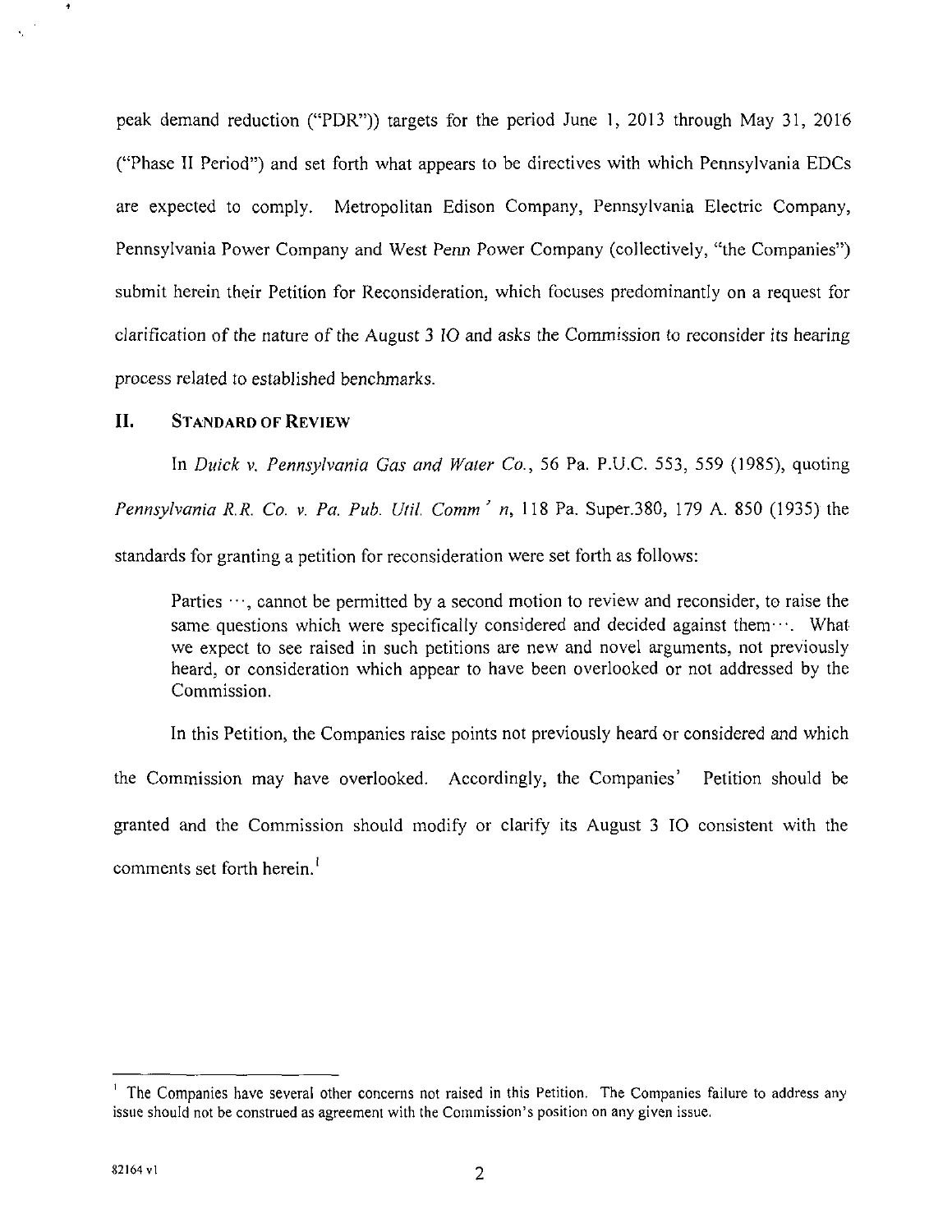**peak demand reduction ("PDR")) targets for the period June 1, 2013 through May 31, 2016 ("Phase II Period") and set forth what appears to be directives with which Pennsylvania EDCs are expected to comply. Metropolitan Edison Company, Pennsylvania Electric Company, Pennsylvania Power Company and West Penn Power Company (collectively, "the Companies") submit herein their Petition for Reconsideration, which focuses predominantly on a request for clarification of the nature of the August 3 IO and asks the Commission to reconsider its hearing process related to established benchmarks.** 

#### **II. STANDARD OF REVIEW**

 $\ddot{\phantom{1}}$ 

In Duick v. Pennsylvania Gas and Water Co., 56 Pa. P.U.C. 553, 559 (1985), quoting Pennsylvania R.R. Co. v. Pa. Pub. Util. Comm' n, 118 Pa. Super.380, 179 A. 850 (1935) the standards for granting a petition for reconsideration were set forth as follows:

Parties  $\cdots$ , cannot be permitted by a second motion to review and reconsider, to raise the same questions which were specifically considered and decided against them $\cdots$ . What we expect to see raised in such petitions are new and novel arguments, not previously heard, or consideration which appear to have been overlooked or not addressed by the Commission.

In this Petition, the Companies raise points not previously heard or considered and which the Commission may have overlooked. Accordingly, the Companies' Petition should be granted and the Commission should modify or clarify its August 3 IO consistent with the comments set forth herein.'

<sup>&</sup>lt;sup>1</sup> The Companies have several other concerns not raised in this Petition. The Companies failure to address any issue should not be construed as agreement with the Commission's position on any given issue.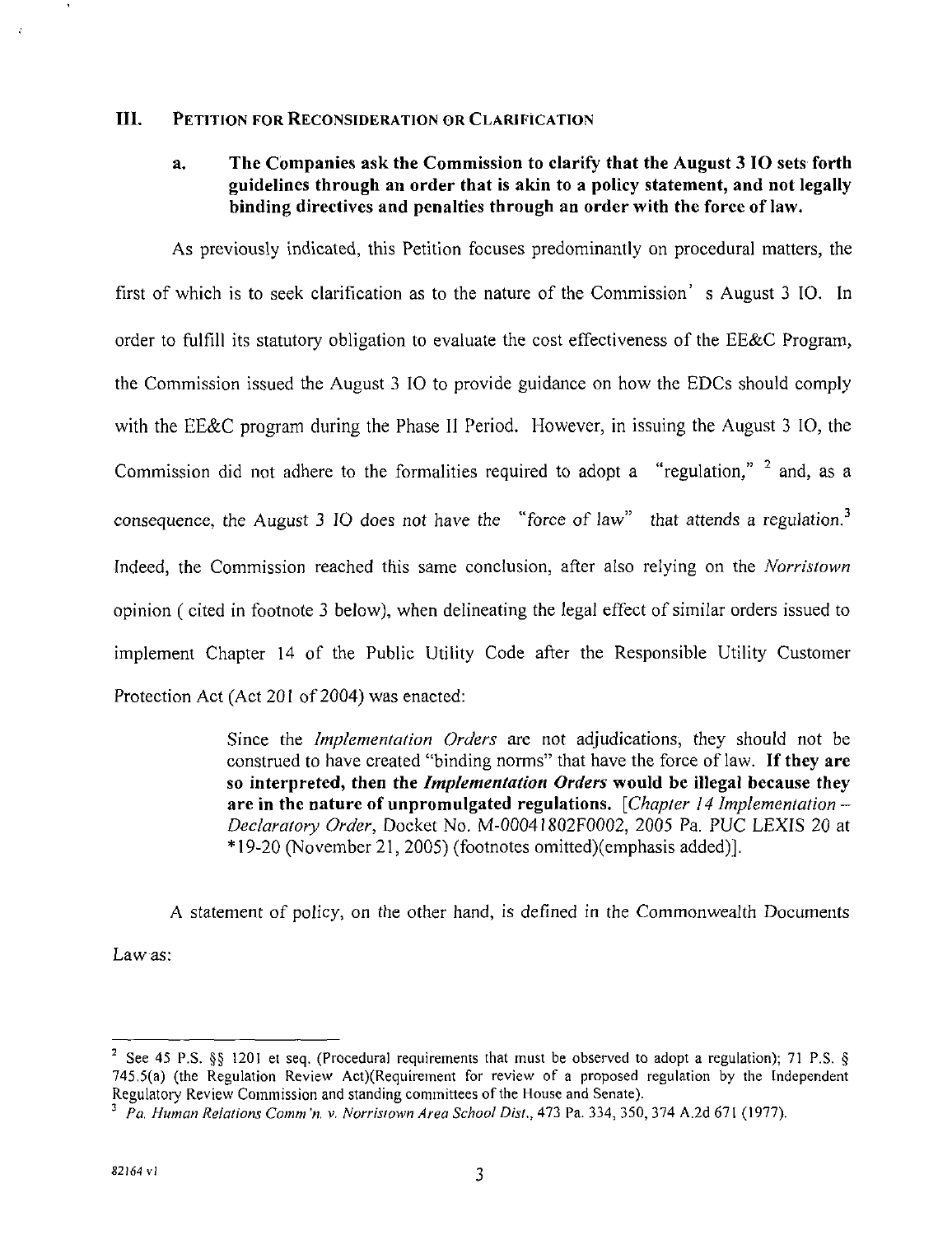#### **III. PETITION FOR RECONSIDERATION OR CLARIFICATION**

# **a. The Companies ask the Commission to clarify that the August 3 IO sets forth guidelines through an order that is akin to a policy statement, and not legally binding directives and penalties through an order with the force of law.**

As previously indicated, this Petition focuses predominantly on procedural matters, the first of which is to seek clarification as to the nature of the Commission' s August 3 IO. In order to fulfill its statutory obligation to evaluate the cost effectiveness of the EE&C Program, the Commission issued the August 3 IO to provide guidance on how the EDCs should comply with the EE&C program during the Phase II Period. However, in issuing the August 3 IO, the Commission did not adhere to the formalities required to adopt a "regulation," <sup>2</sup> and, as a consequence, the August 3 IO does not have the "force of law" that attends a regulation. $3$ Indeed, the Commission reached this same conclusion, after also relying on the Norristown opinion ( cited in footnote 3 below), when delineating the legal effect of similar orders issued to implement Chapter 14 of the Public Utility Code after the Responsible Utility Customer Protection Act (Act 201 of 2004) was enacted:

> Since the Implementation Orders are not adjudications, they should not be construed to have created "binding norms" that have the force of law. If they are so interpreted, then the *Implementation Orders* would be illegal because they are in the nature of unpromulgated regulations. [Chapter 14 Implementation  $-$ Declaratory Order, Docket No. M-00041802F0002, 2005 Pa. PUC LEXIS 20 at \* 19-20 (November 21, 2005) (footnotes omitted)(emphasis added)].

A statement of policy, on the other hand, is defined in the Commonwealth Documents Law as;

 $\ddot{\phantom{1}}$ 

<sup>&</sup>lt;sup>2</sup> See 45 P.S. §§ 1201 et seq. (Procedural requirements that must be observed to adopt a regulation); 71 P.S. § 745.5(a) (the Regulation Review Act)(Requirement for review of a proposed regulation by the Independent Regulatory Review Commission and standing committees of the House and Senate).

 $^3$  Pa. Human Relations Comm'n. v. Norristown Area School Dist., 473 Pa. 334, 350, 374 A.2d 671 (1977).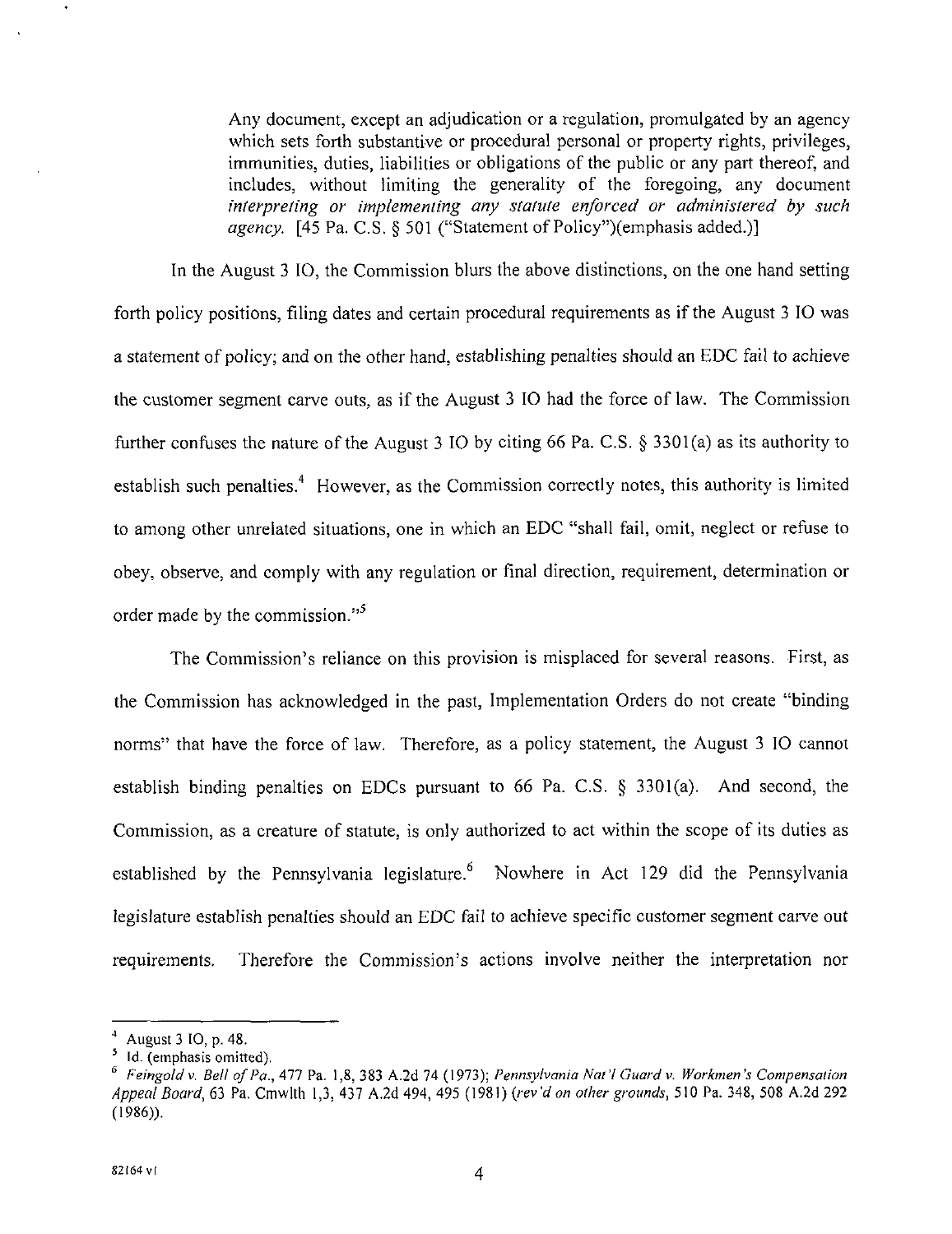Any document, except an adjudication or a regulation, promulgated by an agency which sets forth substantive or procedural personal or property rights, privileges, immunities, duties, liabilities or obligations of the public or any part thereof, and includes, without limiting the generality of the foregoing, any document interpreting or implementing any statute enforced or administered by such agency.  $[45 \text{ Pa}, \text{C}.\text{S}, \& 501$  ("Statement of Policy")(emphasis added.)]

In the August 3 IO, the Commission blurs the above distinctions, on the one hand setting forth policy positions, filing dates and certain procedural requirements as if the August 3 IO was a statement of policy; and on the other hand, establishing penalties should an EDC fail to achieve the customer segment carve outs, as if the August 3 IO had the force of law. The Commission further confuses the nature of the August 3 IO by citing 66 Pa. C.S. § 3301(a) as its authority to establish such penalties.<sup>4</sup> However, as the Commission correctly notes, this authority is limited to among other unrelated situations, one in which an EDC "shall fail, omit, neglect or refuse to obey, observe, and comply with any regulation or final direction, requirement, determination or order made by the commission."<sup>5</sup>

The Commission's reliance on this provision is misplaced for several reasons. First, as the Commission has acknowledged in the past. Implementation Orders do not create "binding norms" that have the force of law. Therefore, as a policy statement, the August 3 IO cannot establish binding penalties on EDCs pursuant to 66 Pa. C.S. § 3301(a). And second, the Commission, as a creature of statute, is only authorized to act within the scope of its duties as established by the Pennsylvania legislature.  $\frac{6}{5}$  Nowhere in Act 129 did the Pennsylvania legislature establish penalties should an EDC fail to achieve specific customer segment carve out requirements. Therefore the Commission's actions involve neither the interpretation nor

<sup>4</sup> August3 IO,p.48.

<sup>&</sup>lt;sup>5</sup> Id. (emphasis omitted).

<sup>&</sup>lt;sup>6</sup> Feingold v. Bell of Pa., 477 Pa. 1,8, 383 A.2d 74 (1973); Pennsylvania Nat'l Guard v. Workmen's Compensation Appeal Board, 63 Pa. Cmwlth 1,3, 437 A.2d 494, 495 (1981) (rev'd on other grounds, 510 Pa. 348, 508 A.2d 292 (1986)).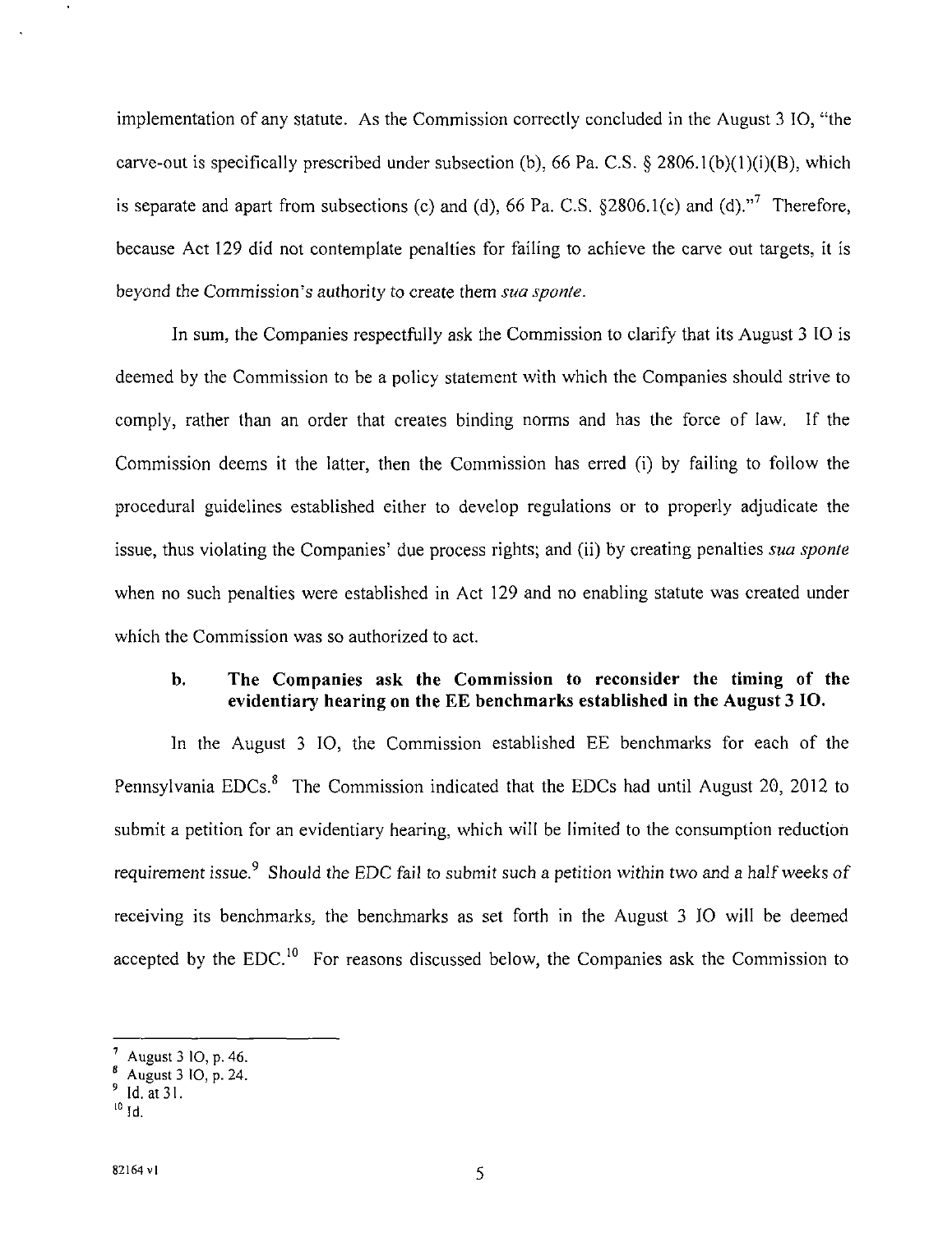implementation of any statute. As the Commission correctly concluded in the August 3 10, "the carve-out is specifically prescribed under subsection (b), 66 Pa. C.S. § 2806.1(b)(1)(i)(B), which is separate and apart from subsections (c) and (d), 66 Pa. C.S.  $\S 2806.1(c)$  and (d)."<sup>7</sup> Therefore, because Act 129 did not contemplate penalties for failing to achieve the carve out targets, it is *beyond the Commission's authority to create them sua sponte.* 

In sum, the Companies respectfully ask the Commission to clarify that its August 3 10 is deemed by the Commission to be a policy statement with which the Companies should strive to comply, rather than an order that creates binding norms and has the force of law. If the Commission deems it the latter, then the Commission has erred (i) by failing to follow the procedural guidelines established either to develop regulations or to properly adjudicate the *issue, thus violating the Companies' due process rights; and (ii) by creating penalties sua sponte*  when no such penalties were established in Act 129 and no enabling statute was created under which the Commission was so authorized to act.

# **b. The Companies ask the Commission to reconsider the timing of the evidentiary hearing on the EE benchmarks established in the August 3 IO.**

In the August 3 10, the Commission established EE benchmarks for each of the Pennsylvania EDCs.<sup>8</sup> The Commission indicated that the EDCs had until August 20, 2012 to submit a petition for an evidentiary hearing, which will be limited to the consumption reduction requirement issue.<sup>9</sup> Should the EDC fail to submit such a petition within two and a half weeks of receiving its benchmarks, the benchmarks as set forth in the August 3 10 will be deemed accepted by the EDC.<sup>10</sup> For reasons discussed below, the Companies ask the Commission to

 $\ddot{\phantom{a}}$ 

August 3  $10, p. 46$ .

 $_{\circ}^{\prime}$  August 3 IO, p. 24.

<sup>9</sup> Id.at31.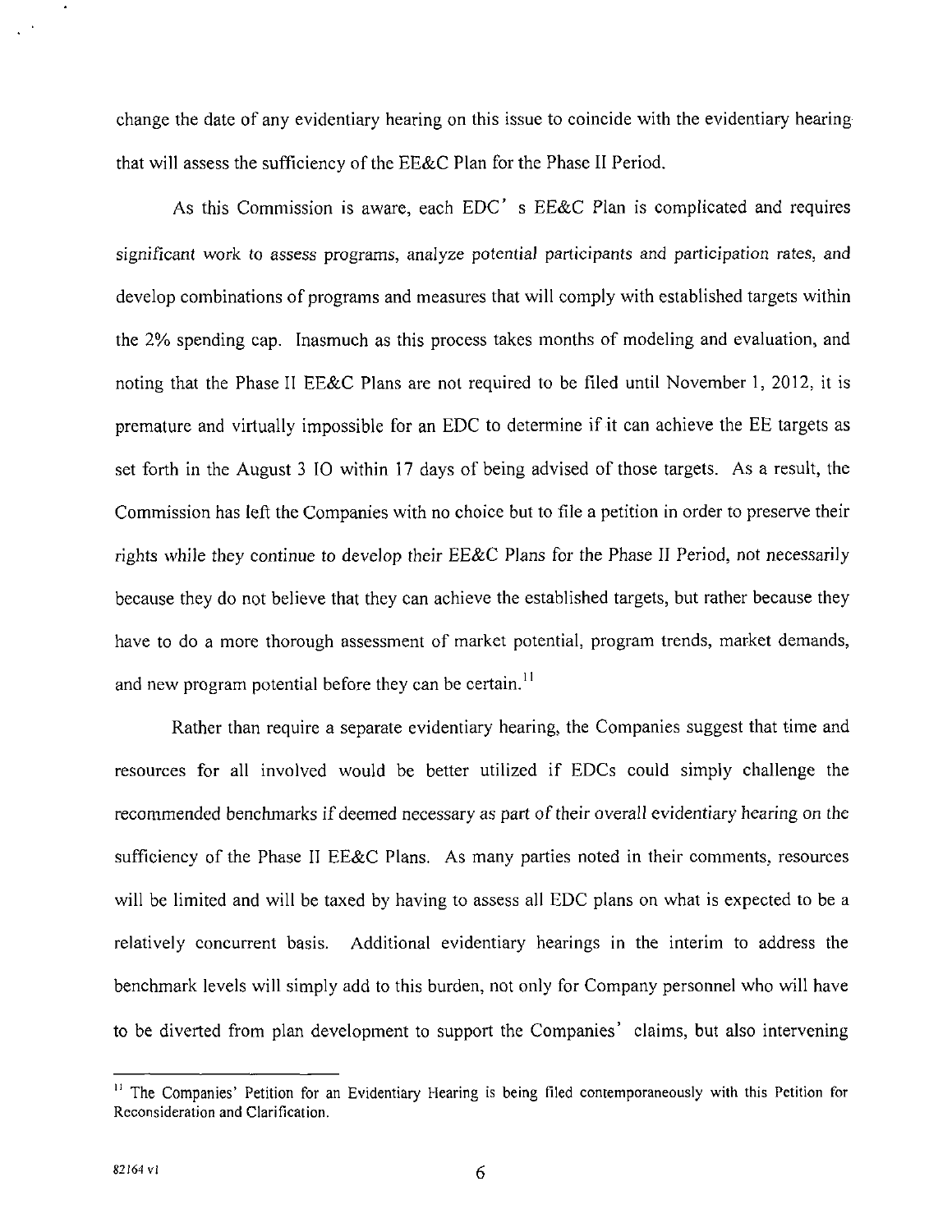change the date of any evidentiary hearing on this issue to coincide with the evidentiary hearing that will assess the sufficiency of the EE&C Plan for the Phase II Period.

As this Commission is aware, each EDC' s EE&C Plan is complicated and requires significant work to assess programs, analyze potential participants and participation rates, and develop combinations of programs and measures that will comply with established targets within the 2% spending cap. Inasmuch as this process takes months of modeling and evaluation, and noting that the Phase II EE&C Plans are not required to be filed until November 1, 2012, it is premature and virtually impossible for an EDC to determine if it can achieve the EE targets as set forth in the August 3 IO within 17 days of being advised of those targets. As a result, the Commission has left the Companies with no choice but to file a petition in order to preserve their rights while they continue to develop their EE&C Plans for the Phase II Period, not necessarily because they do not believe that they can achieve the established targets, but rather because they have to do a more thorough assessment of market potential, program trends, market demands, and new program potential before they can be certain.<sup>11</sup>

Rather than require a separate evidentiary hearing, the Companies suggest that time and resources for all involved would be better utilized if EDCs could simply challenge the recommended benchmarks if deemed necessary as part of their overall evidentiary hearing on the sufficiency of the Phase II EE&C Plans. As many parties noted in their comments, resources will be limited and will be taxed by having to assess all EDC plans on what is expected to be a relatively concurrent basis. Additional evidentiary hearings in the interim to address the benchmark levels will simply add to this burden, not only for Company personnel who will have to be diverted from plan development to support the Companies' claims, but also intervening

<sup>&</sup>lt;sup>11</sup> The Companies' Petition for an Evidentiary Hearing is being filed contemporaneously with this Petition for Reconsideration and Clarification.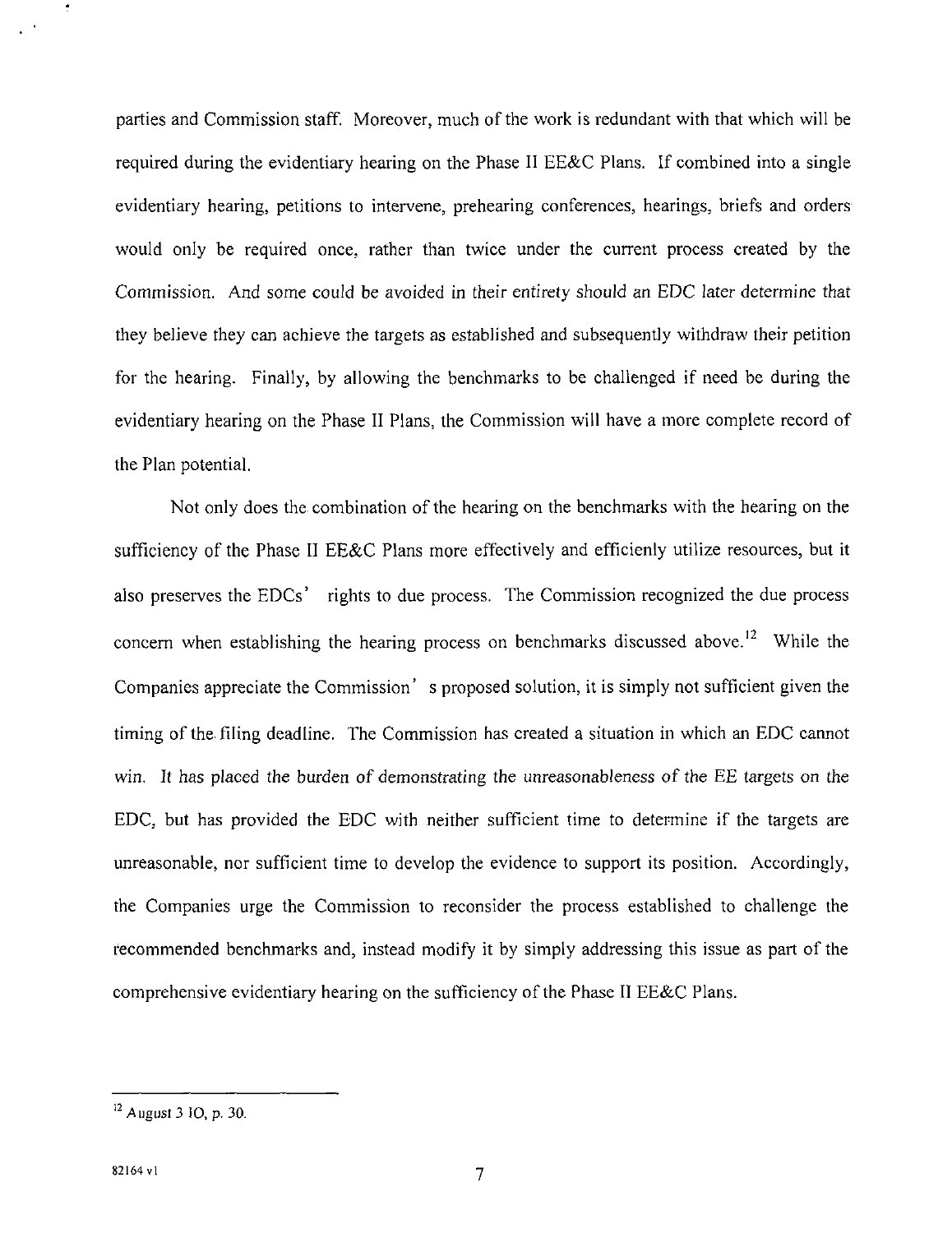parties and Commission staff. Moreover, much of the work is redundant with that which will be required during the evidentiary hearing on the Phase II EE&C Plans. If combined into a single evidentiary hearing, petitions to intervene, prehearing conferences, hearings, briefs and orders would only be required once, rather than twice under the current process created by the Commission. And some could be avoided in their entirety should an EDC later determine that they believe they can achieve the targets as established and subsequently withdraw their petition for the hearing. Finally, by allowing the benchmarks to be challenged if need be during the evidentiary hearing on the Phase II Plans, the Commission will have a more complete record of the Plan potential.

Not only does the combination of the hearing on the benchmarks with the hearing on the sufficiency of the Phase II EE&C Plans more effectively and efficienly utilize resources, but it also preserves the EDCs' rights to due process. The Commission recognized the due process concern when establishing the hearing process on benchmarks discussed above.<sup>12</sup> While the Companies appreciate the Commission' s proposed solution, it is simply not sufficient given the timing of the filing deadline. The Commission has created a situation in which an EDC cannot win. It has placed the burden of demonstrating the unreasonableness of the EE targets on the EDC, but has provided the EDC with neither sufficient time to determine if the targets are unreasonable, nor sufficient time to develop the evidence to support its position. Accordingly, the Companies urge the Commission to reconsider the process established to challenge the recommended benchmarks and, instead modify it by simply addressing this issue as part of the comprehensive evidentiary hearing on the sufficiency of the Phase II EE&C Plans.

 $^{12}$  August 3 10, p. 30.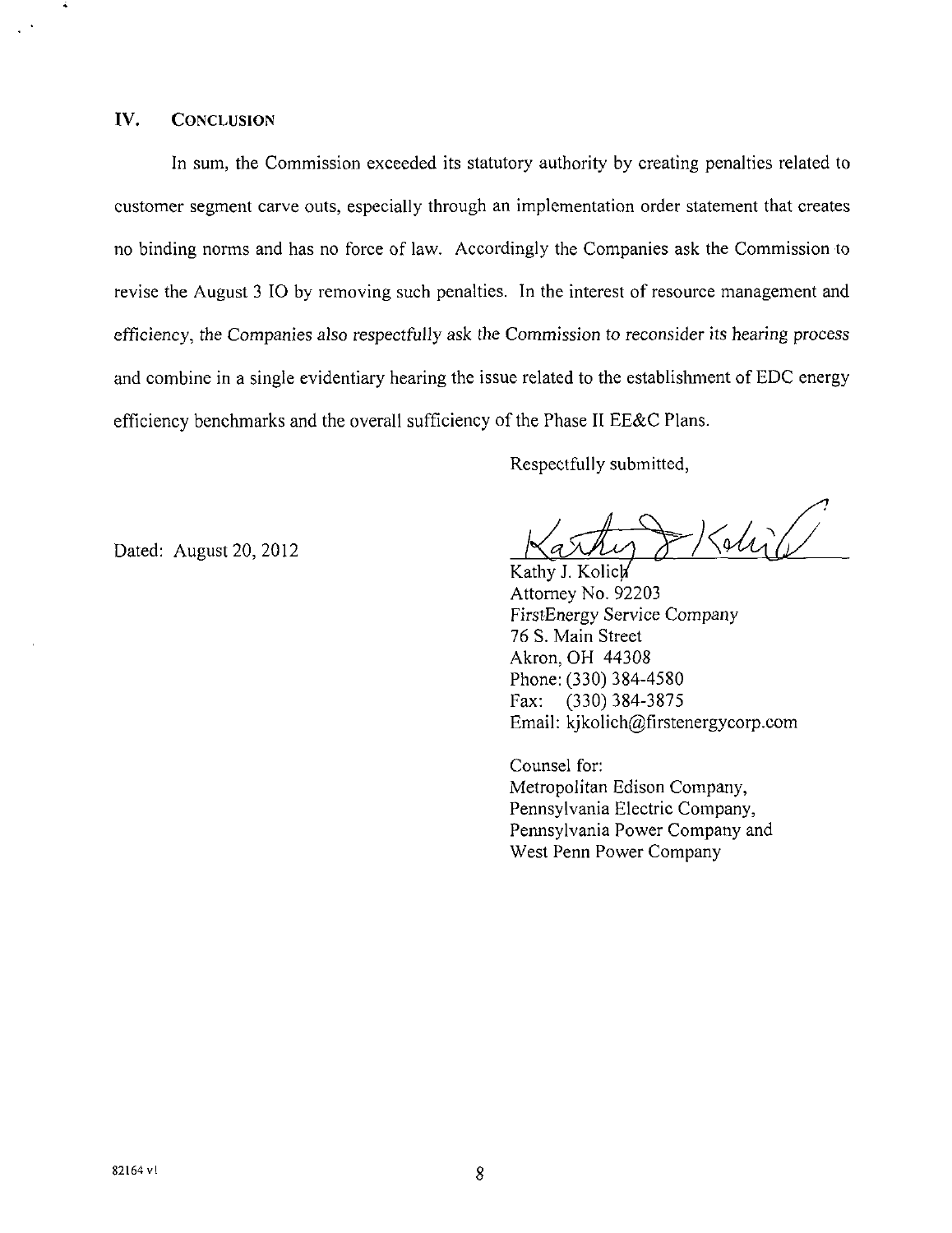#### IV. CONCLUSION

Á

In sum, the Commission exceeded its statutory authority by creating penalties related to customer segment carve outs, especially through an implementation order statement that creates no binding norms and has no force of law. Accordingly the Companies ask the Commission to revise the August 3 IO by removing such penalties. In the interest of resource management and efficiency, the Companies also respectfully ask the Commission to reconsider its hearing process and combine in a single evidentiary hearing the issue related to the establishment of EDC energy efficiency benchmarks and the overall sufficiency of the Phase II EE&C Plans.

Respectfully submitted,

Dated: August 20, 2012

 $\frac{1}{\sqrt{2}}$ 

Kathy J. Kolich Attorney No. 92203 FirstEnergy Service Company 76 S. Main Street Akron, OH 44308 Phone: (330) 384-4580<br>Fax: (330) 384-3875  $(330)$  384-3875 Email: kjkolich@firstenergycorp.com

Counsel for: Metropolitan Edison Company, Pennsylvania Electric Company, Pennsylvania Power Company and West Penn Power Company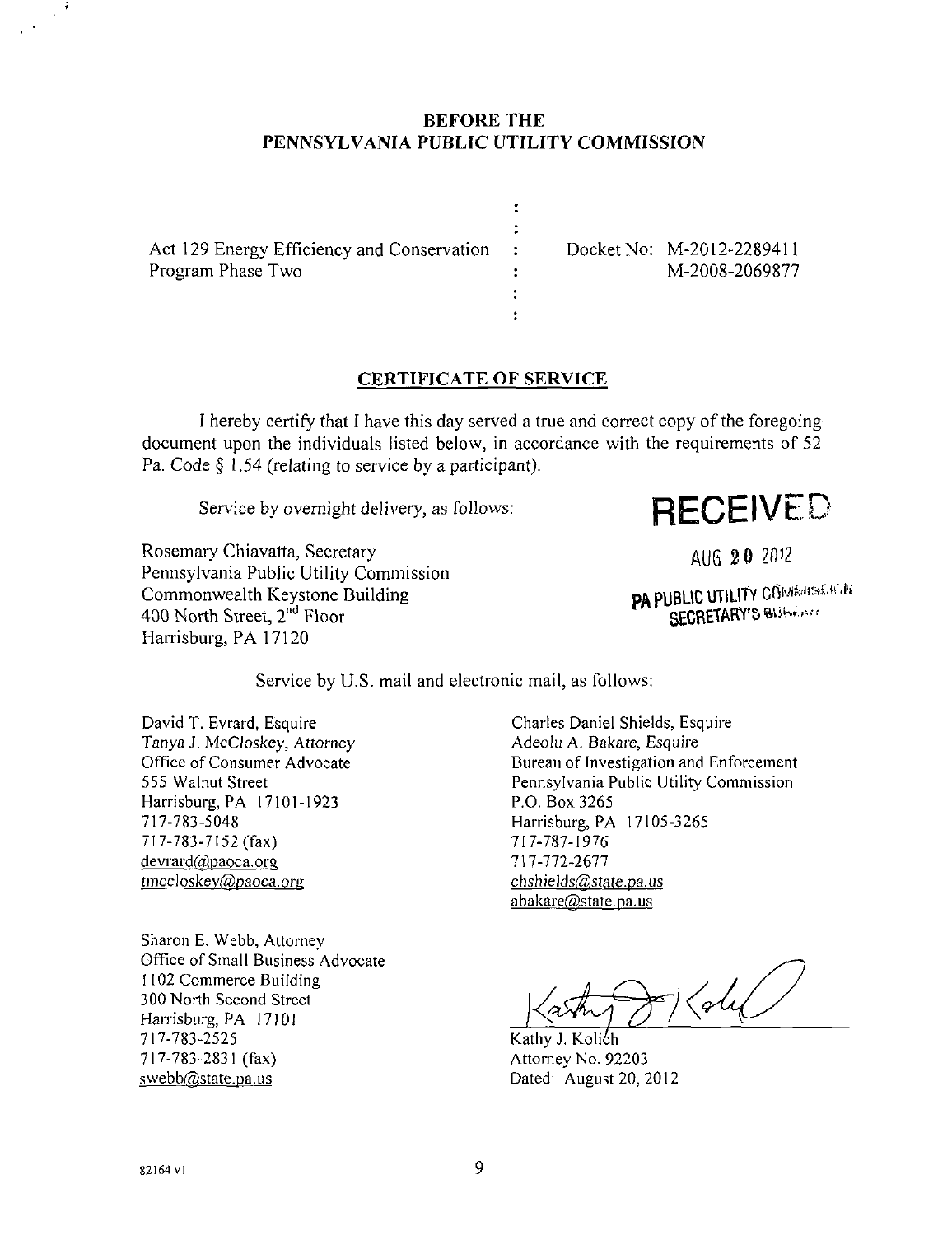## **BEFORE THE PENNSYLVANIA PUBLIC UTILITY COMMISSION**

 $\ddot{\cdot}$  $\ddot{z}$ ÷  $\ddot{\cdot}$  $\ddot{\cdot}$  $\ddot{\cdot}$ 

Act 129 Energy Efficiency and Conservation Program Phase Two

Docket No: M-2012-2289411 M-2008-2069877

# **CERTIFICATE OF SERVICE**

1 hereby certify that I have this day served a true and correct copy of the foregoing document upon the individuals listed below, in accordance with the requirements of 52 Pa. Code § 1.54 (relating to service by a participant).

Service by overnight delivery, as follows:

RECEIVED

Rosemary Chiavatta, Secretary Pennsylvania Public Utility Commission Commonwealth Keystone Building 400 North Street, 2<sup>nd</sup> Floor Harrisburg, PA 17120

AUG 20 2012

PA PUBLIC UTILITY COMMUNISMENTS SECRETARY'S BUSINESS

Service by U.S. mail and electronic mail, as follows:

David T. Evrard, Esquire Tanya J. McCloskey, Attorney Office of Consumer Advocate 555 Walnut Street Harrisburg, PA 17101-1923 717-783-5048 717-783-7152 (fax) devrard@paoca.org tmccloskey@paoca.org

Sharon E. Webb, Attorney Office of Small Business Advocate 1102 Commerce Building 300 North Second Street Harrisburg, PA 17101 717-783-2525 717-783-2831 (fax) swebb@state.pa.us

Charles Daniel Shields, Esquire Adeolu A. Bakare, Esquire Bureau of Investigation and Enforcement Pennsylvania Public Utility Commission P.O. Box 3265 Harrisburg, PA 17105-3265 717-787-1976 717-772-2677 chshields@state.pa.us abakare@state.pa.us

 $\frac{1}{2}$ 

Kathy J. Kolich Attorney No. 92203 Dated: August 20, 2012

82164 vl